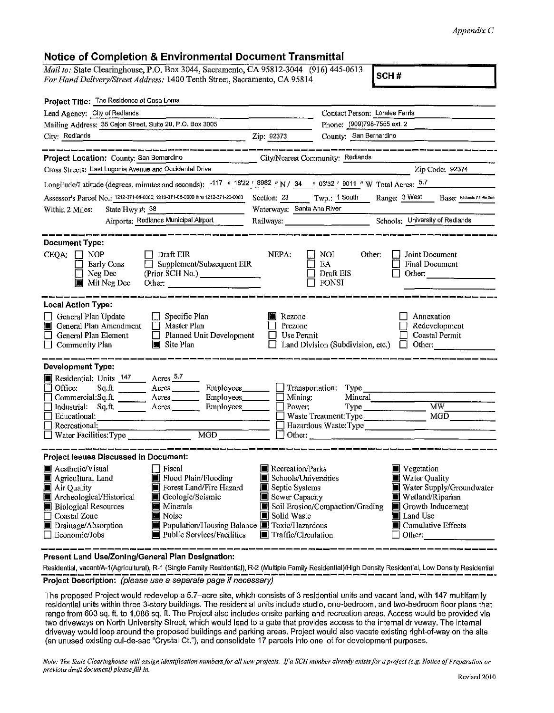## *Appendix C*

## Notice of Completion & Environmental Document Transmittal

*Mail to: State Clearinghouse, P.O. Box 3044, Sacramento, CA 95812-3044* (916) 445-0613 *For Hand Delivery/Street Address:* 1400 Tenth Street, Sacramento, CA 95814

SCH#

| Project Title: The Residence at Casa Loma                                                                                                                                                                                                                                                                                                                                                                                                                                                                                                                                                                                                                                                                                       |                                                                                                                             |                                                                                                                                                                              |                                                         |
|---------------------------------------------------------------------------------------------------------------------------------------------------------------------------------------------------------------------------------------------------------------------------------------------------------------------------------------------------------------------------------------------------------------------------------------------------------------------------------------------------------------------------------------------------------------------------------------------------------------------------------------------------------------------------------------------------------------------------------|-----------------------------------------------------------------------------------------------------------------------------|------------------------------------------------------------------------------------------------------------------------------------------------------------------------------|---------------------------------------------------------|
| Lead Agency: City of Redlands                                                                                                                                                                                                                                                                                                                                                                                                                                                                                                                                                                                                                                                                                                   |                                                                                                                             | Contact Person: Loralee Farris                                                                                                                                               |                                                         |
| Mailing Address: 35 Calon Street, Suite 20, P.O. Box 3005                                                                                                                                                                                                                                                                                                                                                                                                                                                                                                                                                                                                                                                                       |                                                                                                                             | Phone: (909)798-7555 ext. 2                                                                                                                                                  |                                                         |
| City: Redlands                                                                                                                                                                                                                                                                                                                                                                                                                                                                                                                                                                                                                                                                                                                  | Zip: 92373                                                                                                                  | County: San Bernardino                                                                                                                                                       |                                                         |
| Project Location: County: San Bernardino City/Nearest Community: Redlands                                                                                                                                                                                                                                                                                                                                                                                                                                                                                                                                                                                                                                                       |                                                                                                                             |                                                                                                                                                                              |                                                         |
| Cross Streets: East Lugonia Avenue and Occidental Drive                                                                                                                                                                                                                                                                                                                                                                                                                                                                                                                                                                                                                                                                         |                                                                                                                             |                                                                                                                                                                              | Zip Code: 92374                                         |
| Longitude/Latitude (degrees, minutes and seconds): $-117$ <sup>o</sup> $1822'$ $8982''$ N / 34 <sup>o</sup> 03'32 ' 9011 " W Total Acres: $5.7$                                                                                                                                                                                                                                                                                                                                                                                                                                                                                                                                                                                 |                                                                                                                             |                                                                                                                                                                              |                                                         |
| Assessor's Parcel No.: 1212-371-01-0000; 1212-371-05-0000 thru 1212-371-20-0000                                                                                                                                                                                                                                                                                                                                                                                                                                                                                                                                                                                                                                                 |                                                                                                                             | Section: 23 Twp.: 1 South Range: 3 West Base: Reclards 7.6 Min Seri                                                                                                          |                                                         |
| State Hwy #: 38<br>Within 2 Miles:                                                                                                                                                                                                                                                                                                                                                                                                                                                                                                                                                                                                                                                                                              | Waterways: Santa Ana River                                                                                                  |                                                                                                                                                                              |                                                         |
| Airports: Redlands Municipal Airport                                                                                                                                                                                                                                                                                                                                                                                                                                                                                                                                                                                                                                                                                            |                                                                                                                             |                                                                                                                                                                              |                                                         |
| <b>Document Type:</b><br>$CEQA: \Box NP$<br>Draft EIR<br>Supplement/Subsequent EIR                                                                                                                                                                                                                                                                                                                                                                                                                                                                                                                                                                                                                                              | NEPA:                                                                                                                       | $\Box$ NOI<br>Other:<br>Joint Document<br>$\Box$ ea<br><b>Final Document</b>                                                                                                 |                                                         |
| Early Cons<br>Neg Dec<br>$\blacksquare$ Mit Neg Dec                                                                                                                                                                                                                                                                                                                                                                                                                                                                                                                                                                                                                                                                             |                                                                                                                             | $\Box$ Draft EIS<br>$\Box$ FONSI                                                                                                                                             | Other:                                                  |
| <b>Local Action Type:</b>                                                                                                                                                                                                                                                                                                                                                                                                                                                                                                                                                                                                                                                                                                       |                                                                                                                             |                                                                                                                                                                              |                                                         |
| $\Box$ Specific Plan<br>General Plan Update<br>General Plan Amendment<br>□ Master Plan<br>FI<br>General Plan Element<br>$\Box$ Planned Unit Development<br>$\blacksquare$ Site Plan<br><b>Community Plan</b>                                                                                                                                                                                                                                                                                                                                                                                                                                                                                                                    | Rezone<br>Prezone<br>$\Box$ Use Permit                                                                                      | $\Box$ Land Division (Subdivision, etc.) $\Box$                                                                                                                              | Annexation<br>Redevelopment<br>Coastal Permit<br>Other: |
| Development Type:<br>Residential: Units 147 Acres 5.7<br>Sq.ft. ________ Acres _________ Employees _______ _ Transportation: Type<br>Office:<br>$\frac{1 \text{ Ointec:}}{1 \text{ Inductrical: } \text{Sq.f.}}$ $\frac{1 \text{ Ointec:}}{1 \text{ Sq.f.}}$ $\frac{1 \text{ Ointec:}}{1 \text{ Sq.f.}}$ $\frac{1 \text{ Ointec:}}{1 \text{ Sq.f.}}$ $\frac{1 \text{ Ointec:}}{1 \text{ Sq.f.}}$ $\frac{1 \text{ Ointec:}}{1 \text{ Sq.f.}}$ $\frac{1 \text{ Ointic:}}{1 \text{ Sq.f.}}$ $\frac{1 \text{ Ointic:}}{1 \text{ Sq.f.}}$ $\frac{1 \text{ Ointic:}}$<br>$\Box$ Educational:<br><u> 1990 - Jan James Stein, amerikan bestean ing disebut di parti di parti di parti di parti di parti di parti d</u><br>Recreational: |                                                                                                                             | Mineral<br>Waste Treatment: Type<br>Hazardous Waste: Type                                                                                                                    | $\overline{\text{MW}}$<br>MGD                           |
| <b>Project Issues Discussed in Document:</b>                                                                                                                                                                                                                                                                                                                                                                                                                                                                                                                                                                                                                                                                                    |                                                                                                                             |                                                                                                                                                                              |                                                         |
| Aesthetic/Visual<br>Fiscal<br>Flood Plain/Flooding<br>Agricultural Land<br>Forest Land/Fire Hazard<br>■ Air Quality<br>Archeological/Historical<br>Geologic/Seismic<br><b>Biological Resources</b><br><b>Minerals</b><br>Coastal Zone<br>П<br>I∎ Noise<br>Drainage/Absorption<br>Population/Housing Balance <b>I</b> Toxic/Hazardous<br>Public Services/Facilities<br>$\Box$ Economic/Jobs                                                                                                                                                                                                                                                                                                                                      | <b>■</b> Recreation/Parks<br>Schools/Universities<br>Septic Systems<br>Sewer Capacity<br>Solid Waste<br>Traffic/Circulation | Vegetation<br><b>Water Quality</b><br>Wetland/Riparian<br>Soil Erosion/Compaction/Grading<br>■ Growth Inducement<br><b>■</b> Land Use<br>Cumulative Effects<br>$\Box$ Other: | Water Supply/Groundwater                                |

**Present Land Use/Zoning/General Plan Designation:** 

Residential, vacant/A-1(Agricultural), R-1 (Single Family Residential), R-2 (Multiple Family Residential)/High Density Residential, Low Density Residential Project Description: (please use a separate page if necessary)

The proposed Project would redevelop a 5.7-acre site, which consists of 3 residential units and vacant land, with 147 multifamily residential units within three 3-story buildings. The residential units include studio, one-bedroom, and two-bedroom floor plans that range from 603 sq. ft. to 1,086 sq. ft. The Project also includes onsite parking and recreation areas. Access would be provided via two driveways on North University Street, which would lead to a gate that provides access to the internal driveway. The internal driveway would loop around the proposed buildings and parking areas. Project would also vacate existing right-of-way on the site (an unused existing cul-de-sac "Crystal Ct."), and consolidate 17 parcels into one lot for development purposes.

*Note: The State Clearinghouse will assign identification numbers for all new projects. lfa SCH number already exists for a project (e.g. Notice of Preparation or previous drqft document) please fill in.*